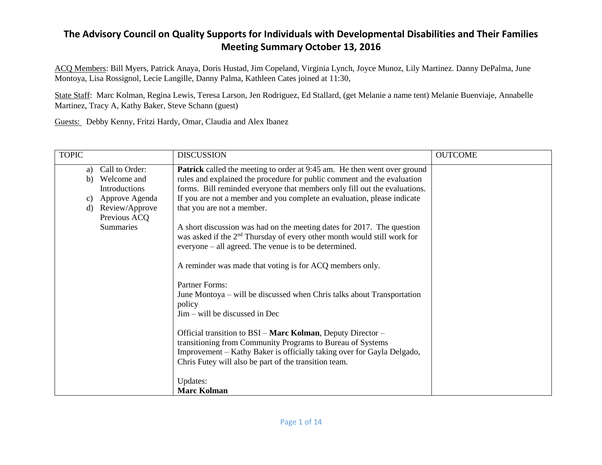ACQ Members: Bill Myers, Patrick Anaya, Doris Hustad, Jim Copeland, Virginia Lynch, Joyce Munoz, Lily Martinez. Danny DePalma, June Montoya, Lisa Rossignol, Lecie Langille, Danny Palma, Kathleen Cates joined at 11:30,

State Staff: Marc Kolman, Regina Lewis, Teresa Larson, Jen Rodriguez, Ed Stallard, (get Melanie a name tent) Melanie Buenviaje, Annabelle Martinez, Tracy A, Kathy Baker, Steve Schann (guest)

Guests: Debby Kenny, Fritzi Hardy, Omar, Claudia and Alex Ibanez

| <b>TOPIC</b>                                                                                                                                   | <b>DISCUSSION</b>                                                                                                                                                                                                                                                                                                                                                                                                                                                                                                                                                                                                                                                                                                                                                                                                                                                                                                                                                                                                                              | <b>OUTCOME</b> |
|------------------------------------------------------------------------------------------------------------------------------------------------|------------------------------------------------------------------------------------------------------------------------------------------------------------------------------------------------------------------------------------------------------------------------------------------------------------------------------------------------------------------------------------------------------------------------------------------------------------------------------------------------------------------------------------------------------------------------------------------------------------------------------------------------------------------------------------------------------------------------------------------------------------------------------------------------------------------------------------------------------------------------------------------------------------------------------------------------------------------------------------------------------------------------------------------------|----------------|
| Call to Order:<br>a)<br>Welcome and<br>b)<br><b>Introductions</b><br>Approve Agenda<br>C)<br>Review/Approve<br>d)<br>Previous ACQ<br>Summaries | <b>Patrick</b> called the meeting to order at 9:45 am. He then went over ground<br>rules and explained the procedure for public comment and the evaluation<br>forms. Bill reminded everyone that members only fill out the evaluations.<br>If you are not a member and you complete an evaluation, please indicate<br>that you are not a member.<br>A short discussion was had on the meeting dates for 2017. The question<br>was asked if the 2 <sup>nd</sup> Thursday of every other month would still work for<br>everyone – all agreed. The venue is to be determined.<br>A reminder was made that voting is for ACQ members only.<br>Partner Forms:<br>June Montoya – will be discussed when Chris talks about Transportation<br>policy<br>Jim – will be discussed in Dec<br>Official transition to BSI – Marc Kolman, Deputy Director –<br>transitioning from Community Programs to Bureau of Systems<br>Improvement – Kathy Baker is officially taking over for Gayla Delgado,<br>Chris Futey will also be part of the transition team. |                |
|                                                                                                                                                | Updates:<br><b>Marc Kolman</b>                                                                                                                                                                                                                                                                                                                                                                                                                                                                                                                                                                                                                                                                                                                                                                                                                                                                                                                                                                                                                 |                |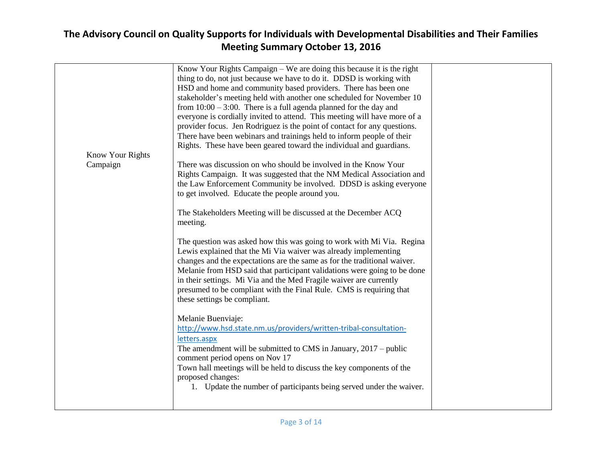|                  | Know Your Rights Campaign – We are doing this because it is the right<br>thing to do, not just because we have to do it. DDSD is working with |  |
|------------------|-----------------------------------------------------------------------------------------------------------------------------------------------|--|
|                  | HSD and home and community based providers. There has been one                                                                                |  |
|                  | stakeholder's meeting held with another one scheduled for November 10                                                                         |  |
|                  |                                                                                                                                               |  |
|                  | from $10:00 - 3:00$ . There is a full agenda planned for the day and                                                                          |  |
|                  | everyone is cordially invited to attend. This meeting will have more of a                                                                     |  |
|                  | provider focus. Jen Rodriguez is the point of contact for any questions.                                                                      |  |
|                  | There have been webinars and trainings held to inform people of their                                                                         |  |
|                  | Rights. These have been geared toward the individual and guardians.                                                                           |  |
| Know Your Rights |                                                                                                                                               |  |
| Campaign         | There was discussion on who should be involved in the Know Your                                                                               |  |
|                  | Rights Campaign. It was suggested that the NM Medical Association and                                                                         |  |
|                  | the Law Enforcement Community be involved. DDSD is asking everyone                                                                            |  |
|                  | to get involved. Educate the people around you.                                                                                               |  |
|                  |                                                                                                                                               |  |
|                  | The Stakeholders Meeting will be discussed at the December ACQ                                                                                |  |
|                  | meeting.                                                                                                                                      |  |
|                  |                                                                                                                                               |  |
|                  | The question was asked how this was going to work with Mi Via. Regina                                                                         |  |
|                  | Lewis explained that the Mi Via waiver was already implementing                                                                               |  |
|                  | changes and the expectations are the same as for the traditional waiver.                                                                      |  |
|                  | Melanie from HSD said that participant validations were going to be done                                                                      |  |
|                  | in their settings. Mi Via and the Med Fragile waiver are currently                                                                            |  |
|                  | presumed to be compliant with the Final Rule. CMS is requiring that                                                                           |  |
|                  | these settings be compliant.                                                                                                                  |  |
|                  |                                                                                                                                               |  |
|                  | Melanie Buenviaje:                                                                                                                            |  |
|                  | http://www.hsd.state.nm.us/providers/written-tribal-consultation-                                                                             |  |
|                  | letters.aspx                                                                                                                                  |  |
|                  | The amendment will be submitted to CMS in January, $2017 -$ public                                                                            |  |
|                  | comment period opens on Nov 17                                                                                                                |  |
|                  | Town hall meetings will be held to discuss the key components of the                                                                          |  |
|                  | proposed changes:                                                                                                                             |  |
|                  | 1. Update the number of participants being served under the waiver.                                                                           |  |
|                  |                                                                                                                                               |  |
|                  |                                                                                                                                               |  |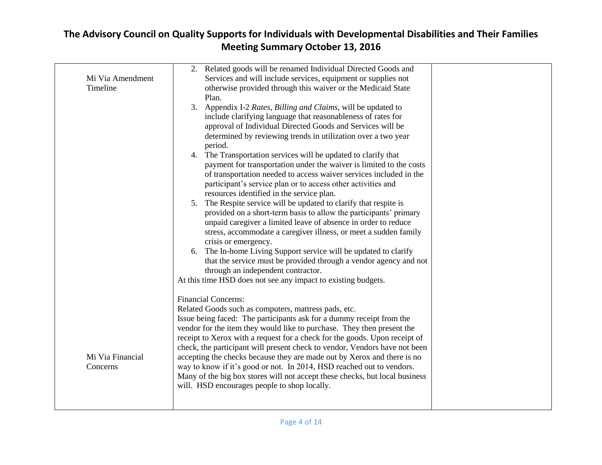| Mi Via Amendment<br>Timeline | 2. Related goods will be renamed Individual Directed Goods and<br>Services and will include services, equipment or supplies not<br>otherwise provided through this waiver or the Medicaid State<br>Plan.<br>3. Appendix I-2 Rates, Billing and Claims, will be updated to<br>include clarifying language that reasonableness of rates for<br>approval of Individual Directed Goods and Services will be<br>determined by reviewing trends in utilization over a two year<br>period.<br>The Transportation services will be updated to clarify that<br>4.<br>payment for transportation under the waiver is limited to the costs<br>of transportation needed to access waiver services included in the<br>participant's service plan or to access other activities and<br>resources identified in the service plan.<br>The Respite service will be updated to clarify that respite is<br>5.<br>provided on a short-term basis to allow the participants' primary<br>unpaid caregiver a limited leave of absence in order to reduce |
|------------------------------|-----------------------------------------------------------------------------------------------------------------------------------------------------------------------------------------------------------------------------------------------------------------------------------------------------------------------------------------------------------------------------------------------------------------------------------------------------------------------------------------------------------------------------------------------------------------------------------------------------------------------------------------------------------------------------------------------------------------------------------------------------------------------------------------------------------------------------------------------------------------------------------------------------------------------------------------------------------------------------------------------------------------------------------|
| Mi Via Financial<br>Concerns | stress, accommodate a caregiver illness, or meet a sudden family<br>crisis or emergency.<br>6. The In-home Living Support service will be updated to clarify<br>that the service must be provided through a vendor agency and not<br>through an independent contractor.<br>At this time HSD does not see any impact to existing budgets.<br><b>Financial Concerns:</b><br>Related Goods such as computers, mattress pads, etc.<br>Issue being faced: The participants ask for a dummy receipt from the<br>vendor for the item they would like to purchase. They then present the<br>receipt to Xerox with a request for a check for the goods. Upon receipt of<br>check, the participant will present check to vendor, Vendors have not been<br>accepting the checks because they are made out by Xerox and there is no<br>way to know if it's good or not. In 2014, HSD reached out to vendors.<br>Many of the big box stores will not accept these checks, but local business<br>will. HSD encourages people to shop locally.   |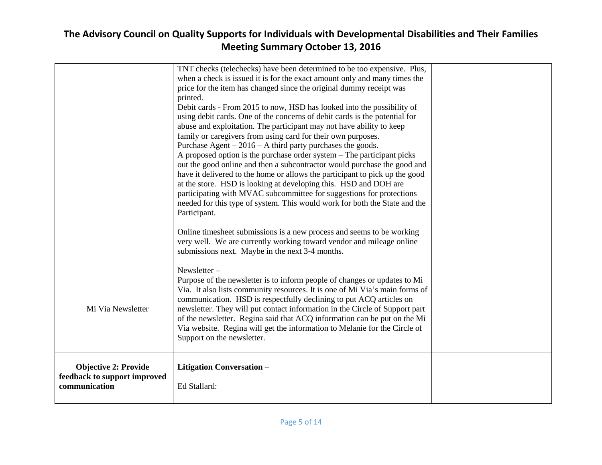|                                                                              | TNT checks (telechecks) have been determined to be too expensive. Plus,<br>when a check is issued it is for the exact amount only and many times the<br>price for the item has changed since the original dummy receipt was<br>printed.<br>Debit cards - From 2015 to now, HSD has looked into the possibility of<br>using debit cards. One of the concerns of debit cards is the potential for<br>abuse and exploitation. The participant may not have ability to keep<br>family or caregivers from using card for their own purposes.<br>Purchase Agent $-2016 - A$ third party purchases the goods.<br>A proposed option is the purchase order system – The participant picks<br>out the good online and then a subcontractor would purchase the good and<br>have it delivered to the home or allows the participant to pick up the good<br>at the store. HSD is looking at developing this. HSD and DOH are<br>participating with MVAC subcommittee for suggestions for protections<br>needed for this type of system. This would work for both the State and the<br>Participant. |  |
|------------------------------------------------------------------------------|---------------------------------------------------------------------------------------------------------------------------------------------------------------------------------------------------------------------------------------------------------------------------------------------------------------------------------------------------------------------------------------------------------------------------------------------------------------------------------------------------------------------------------------------------------------------------------------------------------------------------------------------------------------------------------------------------------------------------------------------------------------------------------------------------------------------------------------------------------------------------------------------------------------------------------------------------------------------------------------------------------------------------------------------------------------------------------------|--|
|                                                                              | Online timesheet submissions is a new process and seems to be working<br>very well. We are currently working toward vendor and mileage online<br>submissions next. Maybe in the next 3-4 months.<br>Newsletter-<br>Purpose of the newsletter is to inform people of changes or updates to Mi<br>Via. It also lists community resources. It is one of Mi Via's main forms of                                                                                                                                                                                                                                                                                                                                                                                                                                                                                                                                                                                                                                                                                                           |  |
| Mi Via Newsletter                                                            | communication. HSD is respectfully declining to put ACQ articles on<br>newsletter. They will put contact information in the Circle of Support part<br>of the newsletter. Regina said that ACQ information can be put on the Mi<br>Via website. Regina will get the information to Melanie for the Circle of<br>Support on the newsletter.                                                                                                                                                                                                                                                                                                                                                                                                                                                                                                                                                                                                                                                                                                                                             |  |
| <b>Objective 2: Provide</b><br>feedback to support improved<br>communication | Litigation Conversation-<br>Ed Stallard:                                                                                                                                                                                                                                                                                                                                                                                                                                                                                                                                                                                                                                                                                                                                                                                                                                                                                                                                                                                                                                              |  |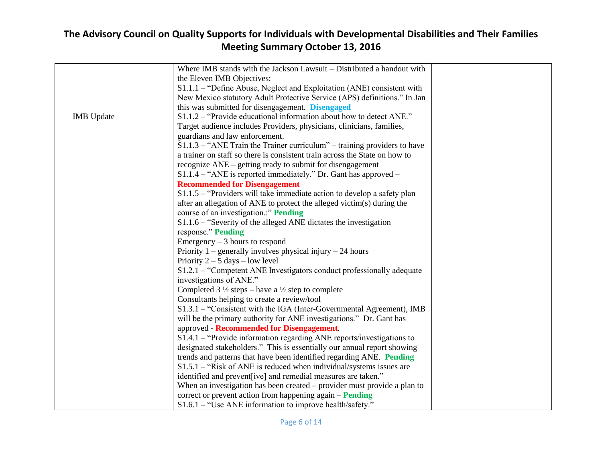|                   | Where IMB stands with the Jackson Lawsuit – Distributed a handout with     |
|-------------------|----------------------------------------------------------------------------|
|                   | the Eleven IMB Objectives:                                                 |
|                   | $S1.1.1$ – "Define Abuse, Neglect and Exploitation (ANE) consistent with   |
|                   | New Mexico statutory Adult Protective Service (APS) definitions." In Jan   |
|                   | this was submitted for disengagement. Disengaged                           |
| <b>IMB</b> Update | S1.1.2 – "Provide educational information about how to detect ANE."        |
|                   | Target audience includes Providers, physicians, clinicians, families,      |
|                   | guardians and law enforcement.                                             |
|                   | $S1.1.3$ – "ANE Train the Trainer curriculum" – training providers to have |
|                   | a trainer on staff so there is consistent train across the State on how to |
|                   | recognize ANE – getting ready to submit for disengagement                  |
|                   | $S1.1.4$ – "ANE is reported immediately." Dr. Gant has approved –          |
|                   | <b>Recommended for Disengagement</b>                                       |
|                   | $S1.1.5$ – "Providers will take immediate action to develop a safety plan  |
|                   | after an allegation of ANE to protect the alleged victim(s) during the     |
|                   | course of an investigation" Pending                                        |
|                   | S1.1.6 – "Severity of the alleged ANE dictates the investigation           |
|                   | response." Pending                                                         |
|                   | Emergency $-3$ hours to respond                                            |
|                   | Priority $1$ – generally involves physical injury – 24 hours               |
|                   | Priority $2 - 5$ days $-$ low level                                        |
|                   | S1.2.1 – "Competent ANE Investigators conduct professionally adequate      |
|                   | investigations of ANE."                                                    |
|                   | Completed $3\frac{1}{2}$ steps – have a $\frac{1}{2}$ step to complete     |
|                   | Consultants helping to create a review/tool                                |
|                   | S1.3.1 - "Consistent with the IGA (Inter-Governmental Agreement), IMB      |
|                   | will be the primary authority for ANE investigations." Dr. Gant has        |
|                   | approved - Recommended for Disengagement.                                  |
|                   | $S1.4.1$ – "Provide information regarding ANE reports/investigations to    |
|                   | designated stakeholders." This is essentially our annual report showing    |
|                   | trends and patterns that have been identified regarding ANE. Pending       |
|                   | $S1.5.1$ – "Risk of ANE is reduced when individual/systems issues are      |
|                   | identified and prevent[ive] and remedial measures are taken."              |
|                   | When an investigation has been created $-$ provider must provide a plan to |
|                   | correct or prevent action from happening again - Pending                   |
|                   | $S1.6.1$ – "Use ANE information to improve health/safety."                 |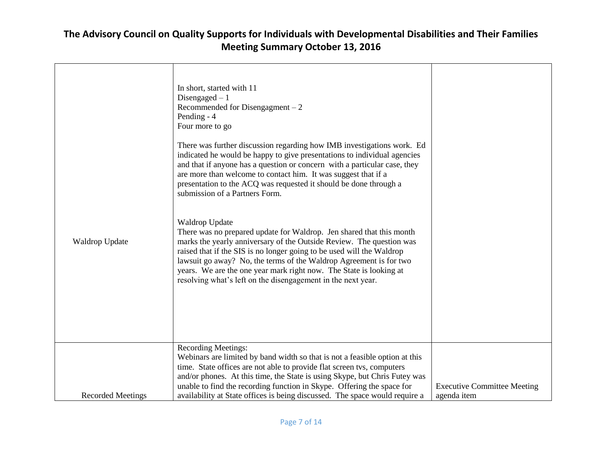| Waldrop Update           | In short, started with 11<br>Disengaged $-1$<br>Recommended for Disengagment $-2$<br>Pending - 4<br>Four more to go<br>There was further discussion regarding how IMB investigations work. Ed<br>indicated he would be happy to give presentations to individual agencies<br>and that if anyone has a question or concern with a particular case, they<br>are more than welcome to contact him. It was suggest that if a<br>presentation to the ACQ was requested it should be done through a<br>submission of a Partners Form.<br>Waldrop Update<br>There was no prepared update for Waldrop. Jen shared that this month<br>marks the yearly anniversary of the Outside Review. The question was<br>raised that if the SIS is no longer going to be used will the Waldrop<br>lawsuit go away? No, the terms of the Waldrop Agreement is for two<br>years. We are the one year mark right now. The State is looking at<br>resolving what's left on the disengagement in the next year. |                                                   |
|--------------------------|----------------------------------------------------------------------------------------------------------------------------------------------------------------------------------------------------------------------------------------------------------------------------------------------------------------------------------------------------------------------------------------------------------------------------------------------------------------------------------------------------------------------------------------------------------------------------------------------------------------------------------------------------------------------------------------------------------------------------------------------------------------------------------------------------------------------------------------------------------------------------------------------------------------------------------------------------------------------------------------|---------------------------------------------------|
| <b>Recorded Meetings</b> | <b>Recording Meetings:</b><br>Webinars are limited by band width so that is not a feasible option at this<br>time. State offices are not able to provide flat screen tvs, computers<br>and/or phones. At this time, the State is using Skype, but Chris Futey was<br>unable to find the recording function in Skype. Offering the space for<br>availability at State offices is being discussed. The space would require a                                                                                                                                                                                                                                                                                                                                                                                                                                                                                                                                                             | <b>Executive Committee Meeting</b><br>agenda item |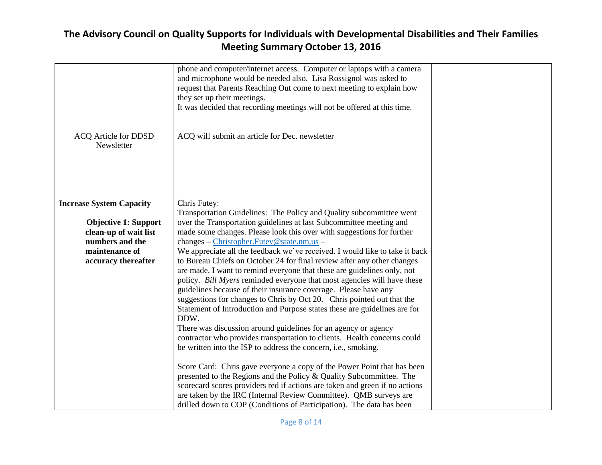|                                                                                                                                                     | phone and computer/internet access. Computer or laptops with a camera<br>and microphone would be needed also. Lisa Rossignol was asked to<br>request that Parents Reaching Out come to next meeting to explain how<br>they set up their meetings.<br>It was decided that recording meetings will not be offered at this time.                                                                                                                                                                                                                                                                                                                                                                                                                                                                                                                                                                                                                                                                                                                                                                                                                                                                                                                                                                                                                                                                                                    |  |
|-----------------------------------------------------------------------------------------------------------------------------------------------------|----------------------------------------------------------------------------------------------------------------------------------------------------------------------------------------------------------------------------------------------------------------------------------------------------------------------------------------------------------------------------------------------------------------------------------------------------------------------------------------------------------------------------------------------------------------------------------------------------------------------------------------------------------------------------------------------------------------------------------------------------------------------------------------------------------------------------------------------------------------------------------------------------------------------------------------------------------------------------------------------------------------------------------------------------------------------------------------------------------------------------------------------------------------------------------------------------------------------------------------------------------------------------------------------------------------------------------------------------------------------------------------------------------------------------------|--|
| <b>ACQ Article for DDSD</b><br>Newsletter                                                                                                           | ACQ will submit an article for Dec. newsletter                                                                                                                                                                                                                                                                                                                                                                                                                                                                                                                                                                                                                                                                                                                                                                                                                                                                                                                                                                                                                                                                                                                                                                                                                                                                                                                                                                                   |  |
| <b>Increase System Capacity</b><br><b>Objective 1: Support</b><br>clean-up of wait list<br>numbers and the<br>maintenance of<br>accuracy thereafter | Chris Futey:<br>Transportation Guidelines: The Policy and Quality subcommittee went<br>over the Transportation guidelines at last Subcommittee meeting and<br>made some changes. Please look this over with suggestions for further<br>changes - Christopher.Futey@state.nm.us -<br>We appreciate all the feedback we've received. I would like to take it back<br>to Bureau Chiefs on October 24 for final review after any other changes<br>are made. I want to remind everyone that these are guidelines only, not<br>policy. Bill Myers reminded everyone that most agencies will have these<br>guidelines because of their insurance coverage. Please have any<br>suggestions for changes to Chris by Oct 20. Chris pointed out that the<br>Statement of Introduction and Purpose states these are guidelines are for<br>DDW.<br>There was discussion around guidelines for an agency or agency<br>contractor who provides transportation to clients. Health concerns could<br>be written into the ISP to address the concern, i.e., smoking.<br>Score Card: Chris gave everyone a copy of the Power Point that has been<br>presented to the Regions and the Policy & Quality Subcommittee. The<br>scorecard scores providers red if actions are taken and green if no actions<br>are taken by the IRC (Internal Review Committee). QMB surveys are<br>drilled down to COP (Conditions of Participation). The data has been |  |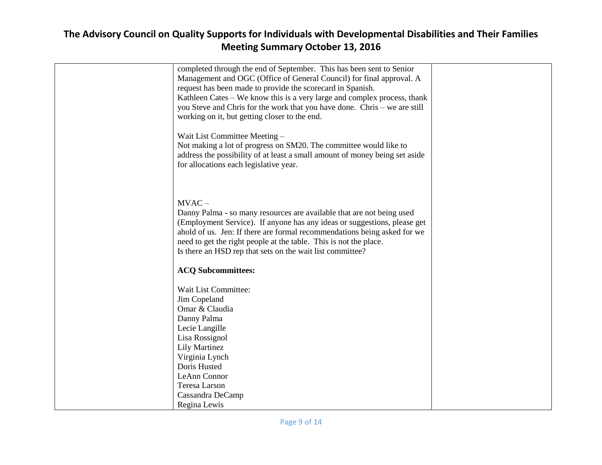| completed through the end of September. This has been sent to Senior        |  |
|-----------------------------------------------------------------------------|--|
| Management and OGC (Office of General Council) for final approval. A        |  |
| request has been made to provide the scorecard in Spanish.                  |  |
| Kathleen Cates – We know this is a very large and complex process, thank    |  |
| you Steve and Chris for the work that you have done. Chris – we are still   |  |
| working on it, but getting closer to the end.                               |  |
|                                                                             |  |
| Wait List Committee Meeting -                                               |  |
| Not making a lot of progress on SM20. The committee would like to           |  |
| address the possibility of at least a small amount of money being set aside |  |
| for allocations each legislative year.                                      |  |
|                                                                             |  |
|                                                                             |  |
| $MVAC -$                                                                    |  |
| Danny Palma - so many resources are available that are not being used       |  |
| (Employment Service). If anyone has any ideas or suggestions, please get    |  |
| ahold of us. Jen: If there are formal recommendations being asked for we    |  |
| need to get the right people at the table. This is not the place.           |  |
| Is there an HSD rep that sets on the wait list committee?                   |  |
|                                                                             |  |
| <b>ACQ Subcommittees:</b>                                                   |  |
|                                                                             |  |
| Wait List Committee:                                                        |  |
| Jim Copeland                                                                |  |
| Omar & Claudia                                                              |  |
| Danny Palma                                                                 |  |
| Lecie Langille                                                              |  |
| Lisa Rossignol                                                              |  |
| <b>Lily Martinez</b>                                                        |  |
| Virginia Lynch                                                              |  |
| Doris Husted                                                                |  |
| LeAnn Connor                                                                |  |
| Teresa Larson                                                               |  |
| Cassandra DeCamp                                                            |  |
| Regina Lewis                                                                |  |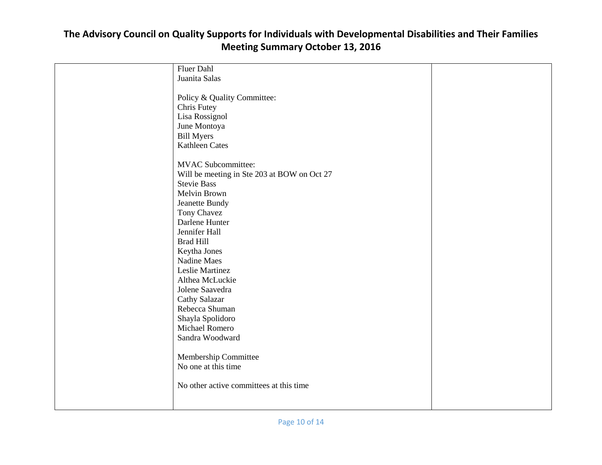#### Fluer Dahl Juanita Salas Policy & Quality Committee: Chris Futey Lisa Rossignol June Montoya Bill Myers Kathleen Cates MVAC Subcommittee: Will be meeting in Ste 203 at BOW on Oct 27 Stevie Bass Melvin Brown Jeanette Bundy Tony Chavez Darlene Hunter Jennifer Hall Brad Hill Keytha Jones Nadine Maes Leslie Martinez Althea McLuckie Jolene Saavedra Cathy Salazar Rebecca Shuman Shayla Spolidoro Michael Romero Sandra Woodward Membership Committee No one at this time No other active committees at this time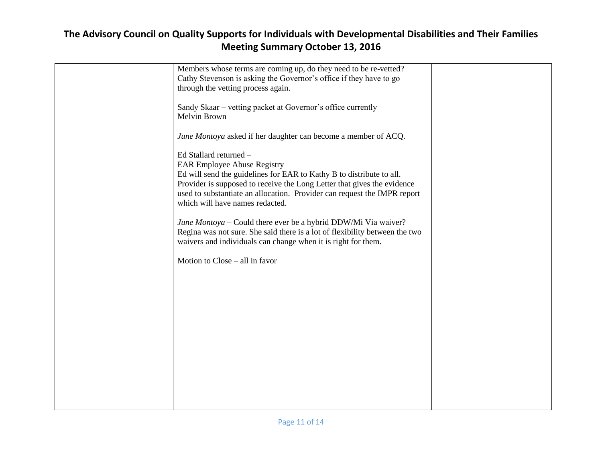| Members whose terms are coming up, do they need to be re-vetted?            |  |
|-----------------------------------------------------------------------------|--|
| Cathy Stevenson is asking the Governor's office if they have to go          |  |
| through the vetting process again.                                          |  |
|                                                                             |  |
| Sandy Skaar – vetting packet at Governor's office currently                 |  |
| Melvin Brown                                                                |  |
|                                                                             |  |
| June Montoya asked if her daughter can become a member of ACQ.              |  |
|                                                                             |  |
|                                                                             |  |
| Ed Stallard returned -                                                      |  |
| <b>EAR Employee Abuse Registry</b>                                          |  |
| Ed will send the guidelines for EAR to Kathy B to distribute to all.        |  |
| Provider is supposed to receive the Long Letter that gives the evidence     |  |
| used to substantiate an allocation. Provider can request the IMPR report    |  |
| which will have names redacted.                                             |  |
|                                                                             |  |
| June Montoya - Could there ever be a hybrid DDW/Mi Via waiver?              |  |
| Regina was not sure. She said there is a lot of flexibility between the two |  |
| waivers and individuals can change when it is right for them.               |  |
|                                                                             |  |
| Motion to Close – all in favor                                              |  |
|                                                                             |  |
|                                                                             |  |
|                                                                             |  |
|                                                                             |  |
|                                                                             |  |
|                                                                             |  |
|                                                                             |  |
|                                                                             |  |
|                                                                             |  |
|                                                                             |  |
|                                                                             |  |
|                                                                             |  |
|                                                                             |  |
|                                                                             |  |
|                                                                             |  |
|                                                                             |  |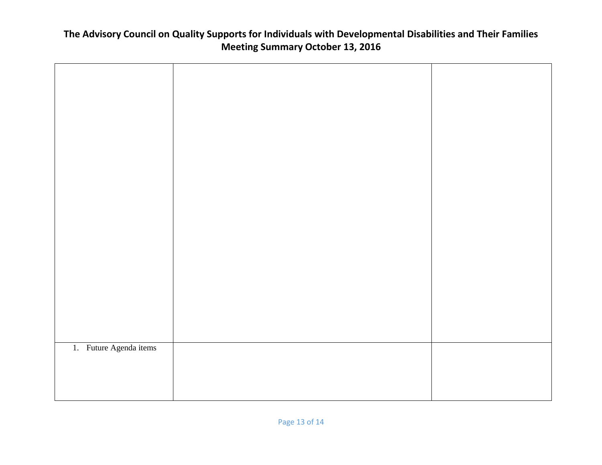| 1. Future Agenda items |  |
|------------------------|--|
|                        |  |
|                        |  |
|                        |  |
|                        |  |
|                        |  |
|                        |  |
|                        |  |
|                        |  |
|                        |  |
|                        |  |